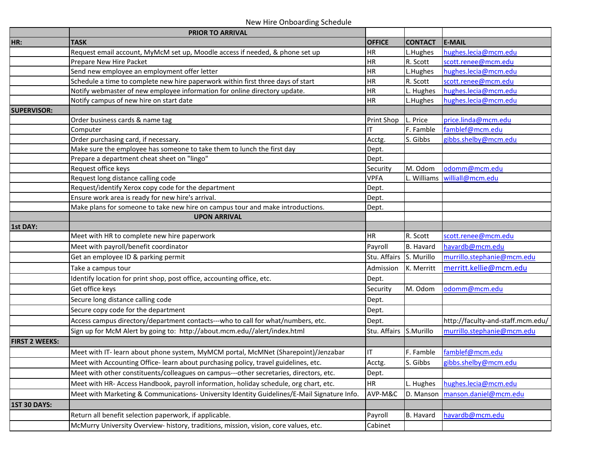## New Hire Onboarding Schedule

|                       | <b>PRIOR TO ARRIVAL</b>                                                                     |               |                |                                   |
|-----------------------|---------------------------------------------------------------------------------------------|---------------|----------------|-----------------------------------|
| HR:                   | <b>TASK</b>                                                                                 | <b>OFFICE</b> | <b>CONTACT</b> | <b>E-MAIL</b>                     |
|                       | Request email account, MyMcM set up, Moodle access if needed, & phone set up                | HR            | L.Hughes       | hughes.lecia@mcm.edu              |
|                       | Prepare New Hire Packet                                                                     | HR            | R. Scott       | scott.renee@mcm.edu               |
|                       | Send new employee an employment offer letter                                                | HR            | L.Hughes       | hughes.lecia@mcm.edu              |
|                       | Schedule a time to complete new hire paperwork within first three days of start             | <b>HR</b>     | R. Scott       | scott.renee@mcm.edu               |
|                       | Notify webmaster of new employee information for online directory update.                   | HR            | L. Hughes      | hughes.lecia@mcm.edu              |
|                       | Notify campus of new hire on start date                                                     | HR            | L.Hughes       | hughes.lecia@mcm.edu              |
| <b>SUPERVISOR:</b>    |                                                                                             |               |                |                                   |
|                       | Order business cards & name tag                                                             | Print Shop    | L. Price       | price.linda@mcm.edu               |
|                       | Computer                                                                                    | ΙT            | F. Famble      | famblef@mcm.edu                   |
|                       | Order purchasing card, if necessary.                                                        | Acctg.        | S. Gibbs       | gibbs.shelby@mcm.edu              |
|                       | Make sure the employee has someone to take them to lunch the first day                      | Dept.         |                |                                   |
|                       | Prepare a department cheat sheet on "lingo"                                                 | Dept.         |                |                                   |
|                       | Request office keys                                                                         | Security      | M. Odom        | odomm@mcm.edu                     |
|                       | Request long distance calling code                                                          | <b>VPFA</b>   | L. Williams    | williall@mcm.edu                  |
|                       | Request/identify Xerox copy code for the department                                         | Dept.         |                |                                   |
|                       | Ensure work area is ready for new hire's arrival.                                           | Dept.         |                |                                   |
|                       | Make plans for someone to take new hire on campus tour and make introductions.              | Dept.         |                |                                   |
|                       | <b>UPON ARRIVAL</b>                                                                         |               |                |                                   |
| 1st DAY:              |                                                                                             |               |                |                                   |
|                       | Meet with HR to complete new hire paperwork                                                 | <b>HR</b>     | R. Scott       | scott.renee@mcm.edu               |
|                       | Meet with payroll/benefit coordinator                                                       | Payroll       | B. Havard      | havardb@mcm.edu                   |
|                       | Get an employee ID & parking permit                                                         | Stu. Affairs  | S. Murillo     | murrillo.stephanie@mcm.edu        |
|                       | Take a campus tour                                                                          | Admission     | K. Merritt     | merritt.kellie@mcm.edu            |
|                       | Identify location for print shop, post office, accounting office, etc.                      | Dept.         |                |                                   |
|                       | Get office keys                                                                             | Security      | M. Odom        | odomm@mcm.edu                     |
|                       | Secure long distance calling code                                                           | Dept.         |                |                                   |
|                       | Secure copy code for the department                                                         | Dept.         |                |                                   |
|                       | Access campus directory/department contacts---who to call for what/numbers, etc.            | Dept.         |                | http://faculty-and-staff.mcm.edu/ |
|                       | Sign up for McM Alert by going to: http://about.mcm.edu//alert/index.html                   | Stu. Affairs  | S.Murillo      | murrillo.stephanie@mcm.edu        |
| <b>FIRST 2 WEEKS:</b> |                                                                                             |               |                |                                   |
|                       | Meet with IT- learn about phone system, MyMCM portal, McMNet (Sharepoint)/Jenzabar          | ΙT            | F. Famble      | famblef@mcm.edu                   |
|                       | Meet with Accounting Office-learn about purchasing policy, travel guidelines, etc.          | Acctg.        | S. Gibbs       | gibbs.shelby@mcm.edu              |
|                       | Meet with other constituents/colleagues on campus---other secretaries, directors, etc.      | Dept.         |                |                                   |
|                       | Meet with HR- Access Handbook, payroll information, holiday schedule, org chart, etc.       | HR            | L. Hughes      | hughes.lecia@mcm.edu              |
|                       | Meet with Marketing & Communications- University Identity Guidelines/E-Mail Signature Info. | AVP-M&C       | D. Manson      | manson.daniel@mcm.edu             |
| <b>1ST 30 DAYS:</b>   |                                                                                             |               |                |                                   |
|                       | Return all benefit selection paperwork, if applicable.                                      | Payroll       | B. Havard      | havardb@mcm.edu                   |
|                       | McMurry University Overview- history, traditions, mission, vision, core values, etc.        | Cabinet       |                |                                   |